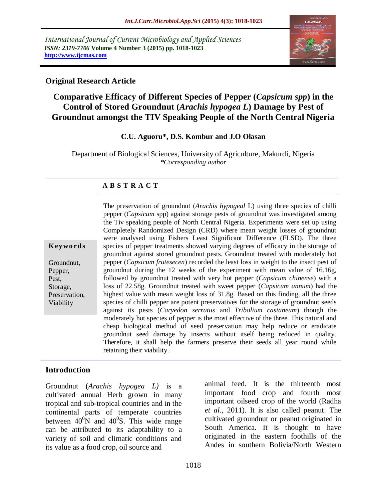*International Journal of Current Microbiology and Applied Sciences ISSN: 2319-7706* **Volume 4 Number 3 (2015) pp. 1018-1023 http://www.ijcmas.com** 



## **Original Research Article**

# **Comparative Efficacy of Different Species of Pepper (***Capsicum spp***) in the Control of Stored Groundnut (***Arachis hypogea L***) Damage by Pest of Groundnut amongst the TIV Speaking People of the North Central Nigeria**

#### **C.U. Aguoru\*, D.S. Kombur and J.O Olasan**

Department of Biological Sciences, University of Agriculture, Makurdi, Nigeria *\*Corresponding author*

#### **A B S T R A C T**

**K ey w o rd s**

Groundnut, Pepper, Pest, Storage, Preservation, Viability

The preservation of groundnut (*Arachis hypogeal* L) using three species of chilli pepper (*Capsicum* spp) against storage pests of groundnut was investigated among the Tiv speaking people of North Central Nigeria. Experiments were set up using Completely Randomized Design (CRD) where mean weight losses of groundnut were analysed using Fishers Least Significant Difference (FLSD). The three species of pepper treatments showed varying degrees of efficacy in the storage of groundnut against stored groundnut pests. Groundnut treated with moderately hot pepper (*Capsicum frutesecen*) recorded the least loss in weight to the insect pest of groundnut during the 12 weeks of the experiment with mean value of 16.16g, followed by groundnut treated with very hot pepper (*Capsicum chinense*) with a loss of 22.58g. Groundnut treated with sweet pepper (*Capsicum annum*) had the highest value with mean weight loss of 31.8g. Based on this finding, all the three species of chilli pepper are potent preservatives for the storage of groundnut seeds against its pests (*Caryedon serratus* and *Tribolium castaneum*) though the moderately hot species of pepper is the most effective of the three. This natural and cheap biological method of seed preservation may help reduce or eradicate groundnut seed damage by insects without itself being reduced in quality. Therefore, it shall help the farmers preserve their seeds all year round while retaining their viability.

### **Introduction**

Groundnut (*Arachis hypogea L)* is a cultivated annual Herb grown in many tropical and sub-tropical countries and in the continental parts of temperate countries between  $40^{\circ}$ N and  $40^{\circ}$ S. This wide range can be attributed to its adaptability to a variety of soil and climatic conditions and its value as a food crop, oil source and

animal feed. It is the thirteenth most important food crop and fourth most important oilseed crop of the world (Radha *et al.*, 2011). It is also called peanut. The cultivated groundnut or peanut originated in South America. It is thought to have originated in the eastern foothills of the Andes in southern Bolivia/North Western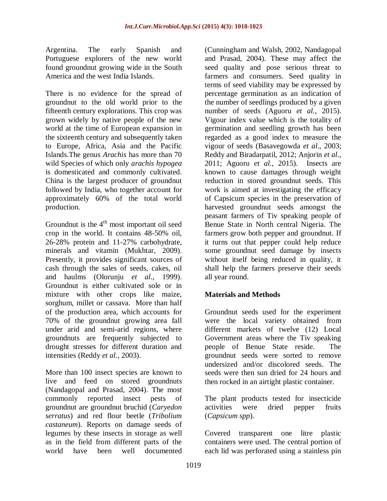Argentina. The early Spanish and Portuguese explorers of the new world found groundnut growing wide in the South America and the west India Islands.

There is no evidence for the spread of groundnut to the old world prior to the fifteenth century explorations. This crop was grown widely by native people of the new world at the time of European expansion in the sixteenth century and subsequently taken to Europe, Africa, Asia and the Pacific Islands.The genus *Arachis* has more than 70 wild Species of which only *arachis hypogea* is domesticated and commonly cultivated. China is the largest producer of groundnut followed by India, who together account for approximately 60% of the total world production.

Groundnut is the  $4<sup>th</sup>$  most important oil seed crop in the world. It contains 48-50% oil, 26-28% protein and 11-27% carbohydrate, minerals and vitamin (Mukhtar, 2009). Presently, it provides significant sources of cash through the sales of seeds, cakes, oil and haulms (Olorunju *et al*., 1999). Groundnut is either cultivated sole or in mixture with other crops like maize, sorghum, millet or cassava. More than half of the production area, which accounts for 70% of the groundnut growing area fall under arid and semi-arid regions, where groundnuts are frequently subjected to drought stresses for different duration and intensities (Reddy *et al.,* 2003).

More than 100 insect species are known to live and feed on stored groundnuts (Nandagopal and Prasad, 2004). The most commonly reported insect pests of groundnut are groundnut bruchid (*Caryedon serratus*) and red flour beetle (*Tribolium castaneum*). Reports on damage seeds of legumes by these insects in storage as well as in the field from different parts of the world have been well documented

(Cunningham and Walsh, 2002, Nandagopal and Prasad, 2004). These may affect the seed quality and pose serious threat to farmers and consumers. Seed quality in terms of seed viability may be expressed by percentage germination as an indication of the number of seedlings produced by a given number of seeds (Aguoru *et al.*, 2015). Vigour index value which is the totality of germination and seedling growth has been regarded as a good index to measure the vigour of seeds (Basavegowda *et al*., 2003; Reddy and Biradarpatil, 2012; Anjorin *et al.*, 2011; Aguoru *et al.*, 2015). Insects are known to cause damages through weight reduction in stored groundnut seeds. This work is aimed at investigating the efficacy of Capsicum species in the preservation of harvested groundnut seeds amongst the peasant farmers of Tiv speaking people of Benue State in North central Nigeria. The farmers grow both pepper and groundnut. If it turns out that pepper could help reduce some groundnut seed damage by insects without itself being reduced in quality, it shall help the farmers preserve their seeds all year round.

# **Materials and Methods**

Groundnut seeds used for the experiment were the local variety obtained from different markets of twelve (12) Local Government areas where the Tiv speaking people of Benue State reside. The groundnut seeds were sorted to remove undersized and/or discolored seeds. The seeds were then sun dried for 24 hours and then rocked in an airtight plastic container.

The plant products tested for insecticide activities were dried pepper fruits (*Capsicum spp*).

Covered transparent one litre plastic containers were used. The central portion of each lid was perforated using a stainless pin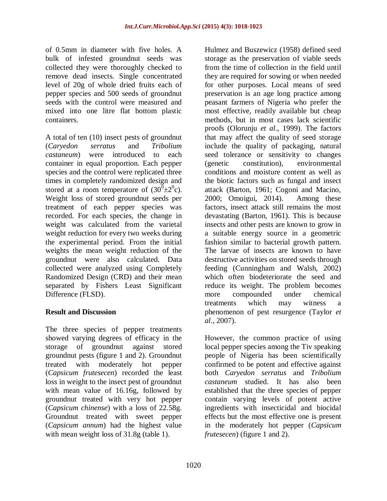of 0.5mm in diameter with five holes. A bulk of infested groundnut seeds was collected they were thoroughly checked to remove dead insects. Single concentrated level of 20g of whole dried fruits each of pepper species and 500 seeds of groundnut seeds with the control were measured and mixed into one litre flat bottom plastic containers.

A total of ten (10) insect pests of groundnut (*Caryedon serratus* and *Tribolium castaneum*) were introduced to each container in equal proportion. Each pepper species and the control were replicated three times in completely randomized design and stored at a room temperature of  $(30^6 \pm 2^0 \text{c})$ . Weight loss of stored groundnut seeds per treatment of each pepper species was recorded. For each species, the change in weight was calculated from the varietal weight reduction for every two weeks during the experimental period. From the initial weights the mean weight reduction of the groundnut were also calculated. Data collected were analyzed using Completely Randomized Design (CRD) and their mean separated by Fishers Least Significant Difference (FLSD).

### **Result and Discussion**

The three species of pepper treatments showed varying degrees of efficacy in the storage of groundnut against stored groundnut pests (figure 1 and 2). Groundnut treated with moderately hot pepper (*Capsicum frutesecen*) recorded the least loss in weight to the insect pest of groundnut with mean value of 16.16g, followed by groundnut treated with very hot pepper (*Capsicum chinense*) with a loss of 22.58g. Groundnut treated with sweet pepper (*Capsicum annum*) had the highest value with mean weight loss of 31.8g (table 1).

Hulmez and Buszewicz (1958) defined seed storage as the preservation of viable seeds from the time of collection in the field until they are required for sowing or when needed for other purposes. Local means of seed preservation is an age long practice among peasant farmers of Nigeria who prefer the most effective, readily available but cheap methods, but in most cases lack scientific proofs (Olorunju *et al*., 1999). The factors that may affect the quality of seed storage include the quality of packaging, natural seed tolerance or sensitivity to changes (genetic constitution), environmental conditions and moisture content as well as the biotic factors such as fungal and insect attack (Barton, 1961; Cogoni and Macino, 2000; Omoigui, 2014). Among these factors, insect attack still remains the most devastating (Barton, 1961). This is because insects and other pests are known to grow in a suitable energy source in a geometric fashion similar to bacterial growth pattern. The larvae of insects are known to have destructive activities on stored seeds through feeding (Cunningham and Walsh, 2002) which often biodeteriorate the seed and reduce its weight. The problem becomes more compounded under chemical treatments which may witness a phenomenon of pest resurgence (Taylor *et al*., 2007).

However, the common practice of using local pepper species among the Tiv speaking people of Nigeria has been scientifically confirmed to be potent and effective against both *Caryedon serratus* and *Tribolium castaneum* studied. It has also been established that the three species of pepper contain varying levels of potent active ingredients with insecticidal and biocidal effects but the most effective one is present in the moderately hot pepper (*Capsicum frutesecen*) (figure 1 and 2).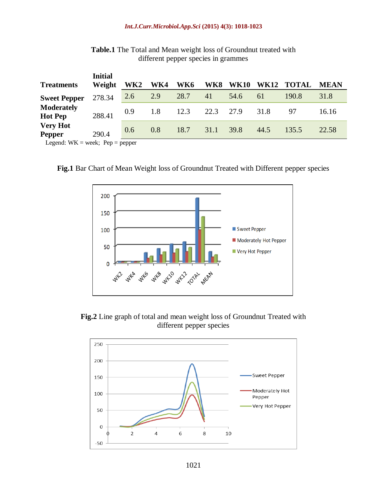#### *Int.J.Curr.Microbiol.App.Sci* **(2015) 4(3): 1018-1023**

|                                     | <b>Initial</b> |                 |     |      |           |             |             |              |             |
|-------------------------------------|----------------|-----------------|-----|------|-----------|-------------|-------------|--------------|-------------|
| <b>Treatments</b>                   | Weight         | WK <sub>2</sub> | WK4 | WK6  | WK8       | <b>WK10</b> | <b>WK12</b> | <b>TOTAL</b> | <b>MEAN</b> |
| <b>Sweet Pepper</b>                 | 278.34         | 2.6             | 2.9 | 28.7 | 41        | 54.6        | 61          | 190.8        | 31.8        |
| <b>Moderately</b><br><b>Hot Pep</b> | 288.41         | 0.9             | 1.8 | 12.3 | 22.3 27.9 |             | 31.8        | 97           | 16.16       |
| <b>Very Hot</b><br><b>Pepper</b>    | 290.4          | 0.6             | 0.8 | 18.7 | 31.1      | 39.8        | 44.5        | 135.5        | 22.58       |
| Legend: $WK = week$ ; Pep = pepper  |                |                 |     |      |           |             |             |              |             |

**Table.1** The Total and Mean weight loss of Groundnut treated with different pepper species in grammes





**Fig.2** Line graph of total and mean weight loss of Groundnut Treated with different pepper species

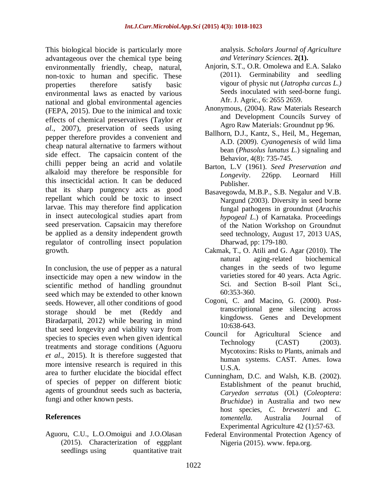This biological biocide is particularly more advantageous over the chemical type being environmentally friendly, cheap, natural, non-toxic to human and specific. These properties therefore satisfy basic environmental laws as enacted by various national and global environmental agencies (FEPA, 2015). Due to the inimical and toxic effects of chemical preservatives (Taylor *et al*., 2007), preservation of seeds using pepper therefore provides a convenient and cheap natural alternative to farmers without side effect. The capsaicin content of the chilli pepper being an acrid and volatile alkaloid may therefore be responsible for this insecticidal action. It can be deduced that its sharp pungency acts as good repellant which could be toxic to insect larvae. This may therefore find application in insect autecological studies apart from seed preservation. Capsaicin may therefore be applied as a density independent growth regulator of controlling insect population growth.

In conclusion, the use of pepper as a natural insecticide may open a new window in the scientific method of handling groundnut seed which may be extended to other known seeds. However, all other conditions of good storage should be met (Reddy and Biradarpatil, 2012) while bearing in mind that seed longevity and viability vary from species to species even when given identical treatments and storage conditions (Aguoru *et al*., 2015). It is therefore suggested that more intensive research is required in this area to further elucidate the biocidal effect of species of pepper on different biotic agents of groundnut seeds such as bacteria, fungi and other known pests.

### **References**

Aguoru, C.U., L.O.Omoigui and J.O.Olasan (2015). Characterization of eggplant seedlings using quantitative trait analysis. *Scholars Journal of Agriculture and Veterinary Sciences*. **2(1).**

- Anjorin, S.T., O.R. Omolewa and E.A. Salako (2011). Germinability and seedling vigour of physic nut (*Jatropha curcas L.)* Seeds inoculated with seed-borne fungi. Afr. J. Agric., 6: 2655 2659.
- Anonymous, (2004). Raw Materials Research and Development Councils Survey of Agro Raw Materials: Groundnut pp 96.
- Ballhorn, D.J., Kantz, S., Heil, M., Hegeman, A.D. (2009). *Cyanogenesis* of wild lima bean (*Phasolus lunatus L.*) signaling and Behavior, 4(8): 735-745.
- Barton, L.V (1961). *Seed Preservation and Longevity*. 226pp. Leornard Hill Publisher.
- Basavegowda, M.B.P., S.B. Negalur and V.B. Nargund (2003). Diversity in seed borne fungal pathogens in groundnut (*Arachis hypogeal L*.) of Karnataka. Proceedings of the Nation Workshop on Groundnut seed technology, August 17, 2013 UAS, Dharwad, pp: 179-180.
- Cakmak, T., O. Atili and G. Agar (2010). The natural aging-related biochemical changes in the seeds of two legume varieties stored for 40 years. Acta Agric. Sci. and Section B-soil Plant Sci., 60:353-360.
- Cogoni, C. and Macino, G. (2000). Posttranscriptional gene silencing across kingdowss. Genes and Development 10:638-643.
- Council for Agricultural Science and Technology (CAST) (2003). Mycotoxins: Risks to Plants, animals and human systems. CAST. Ames. Iowa U.S.A.
- Cunningham, D.C. and Walsh, K.B. (2002). Establishment of the peanut bruchid, *Caryedon serratus* (Ol.) (*Coleoptera*: *Bruchidae*) in Australia and two new host species, *C. brewsteri* and *C. tomentella.* Australia Journal of Experimental Agriculture 42 (1):57-63.
- Federal Environmental Protection Agency of Nigeria (2015). www. fepa.org.